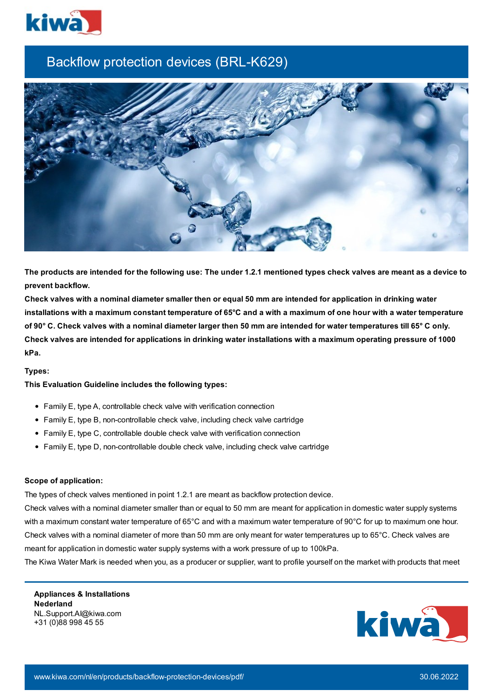

## Backflow protection devices (BRL-K629)



The products are intended for the following use: The under 1.2.1 mentioned types check valves are meant as a device to **prevent backflow.**

Check valves with a nominal diameter smaller then or equal 50 mm are intended for application in drinking water installations with a maximum constant temperature of 65°C and a with a maximum of one hour with a water temperature of 90° C. Check valves with a nominal diameter larger then 50 mm are intended for water temperatures till 65° C only. Check valves are intended for applications in drinking water installations with a maximum operating pressure of 1000 **kPa.**

## **Types:**

## **This Evaluation Guideline includes the following types:**

- Family E, type A, controllable check valve with verification connection
- Family E, type B, non-controllable check valve, including check valve cartridge
- Family E, type C, controllable double check valve with verification connection
- Family E, type D, non-controllable double check valve, including check valve cartridge

## **Scope of application:**

The types of check valves mentioned in point 1.2.1 are meant as backflow protection device.

Check valves with a nominal diameter smaller than or equal to 50 mm are meant for application in domestic water supply systems with a maximum constant water temperature of 65°C and with a maximum water temperature of 90°C for up to maximum one hour. Check valves with a nominal diameter of more than 50 mm are only meant for water temperatures up to 65°C. Check valves are meant for application in domestic water supply systems with a work pressure of up to 100kPa.

The Kiwa Water Mark is needed when you, as a producer or supplier, want to profile yourself on the market with products that meet

**Appliances & Installations Nederland** NL.Support.AI@kiwa.com +31 (0)88 998 45 55